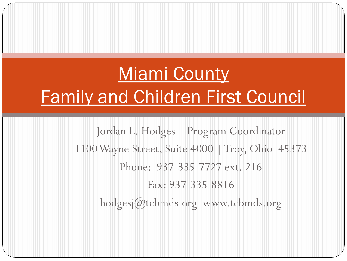# Miami County Family and Children First Council

Jordan L. Hodges | Program Coordinator 1100 Wayne Street, Suite 4000 | Troy, Ohio 45373 Phone: 937-335-7727 ext. 216 Fax: 937-335-8816 hodgesj@tcbmds.org www.tcbmds.org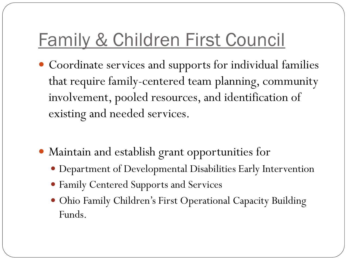# Family & Children First Council

- Coordinate services and supports for individual families that require family-centered team planning, community involvement, pooled resources, and identification of existing and needed services.
- Maintain and establish grant opportunities for
	- Department of Developmental Disabilities Early Intervention
	- Family Centered Supports and Services
	- Ohio Family Children's First Operational Capacity Building Funds.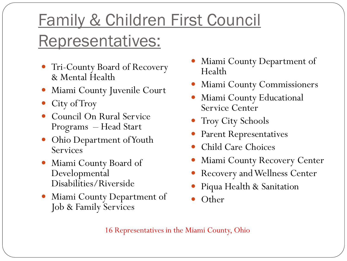### Family & Children First Council Representatives:

- Tri-County Board of Recovery & Mental Health
- Miami County Juvenile Court
- City of Troy
- Council On Rural Service Programs – Head Start
- Ohio Department of Youth **Services**
- Miami County Board of Developmental Disabilities/Riverside
- Miami County Department of Job & Family Services
- Miami County Department of Health
- Miami County Commissioners
- Miami County Educational Service Center
- Troy City Schools
- Parent Representatives
- Child Care Choices
- Miami County Recovery Center
- Recovery and Wellness Center
- Piqua Health & Sanitation
- **Other**

16 Representatives in the Miami County, Ohio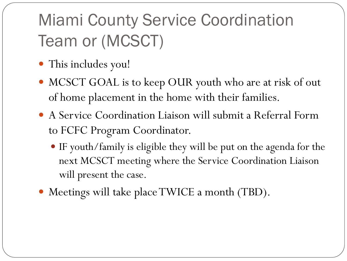## Miami County Service Coordination Team or (MCSCT)

- This includes you!
- MCSCT GOAL is to keep OUR youth who are at risk of out of home placement in the home with their families.
- A Service Coordination Liaison will submit a Referral Form to FCFC Program Coordinator.
	- IF youth/family is eligible they will be put on the agenda for the next MCSCT meeting where the Service Coordination Liaison will present the case.
- Meetings will take place TWICE a month (TBD).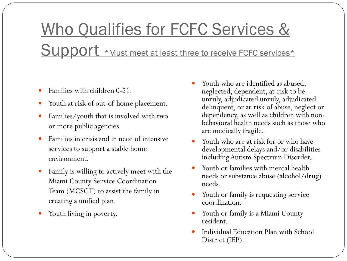# Who Qualifies for FCFC Services & Support \*Must meet at least three to receive FCFC services\*

- Families with children 0-21.
- Youth at risk of out-of-home placement.
- Families/youth that is involved with two or more public agencies.
- Families in crisis and in need of intensive services to support a stable home environment.
- Family is willing to actively meet with the Miami County Service Coordination Team (MCSCT) to assist the family in creating a unified plan.
- Youth living in poverty.
- Youth who are identified as abused, neglected, dependent, at-risk to be unruly, adjudicated unruly, adjudicated delinquent, or at-risk of abuse, neglect or dependency, as well as children with nonbehavioral health needs such as those who are medically fragile.
- Youth who are at risk for or who have developmental delays and/or disabilities including Autism Spectrum Disorder.
- Youth or families with mental health needs or substance abuse (alcohol/drug) needs.
- Youth or family is requesting service coordination.
- Youth or family is a Miami County resident.
- Individual Education Plan with School District (IEP).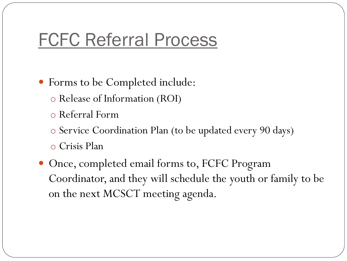#### FCFC Referral Process

- Forms to be Completed include:
	- o Release of Information (ROI)
	- o Referral Form
	- o Service Coordination Plan (to be updated every 90 days)
	- o Crisis Plan
- Once, completed email forms to, FCFC Program Coordinator, and they will schedule the youth or family to be on the next MCSCT meeting agenda.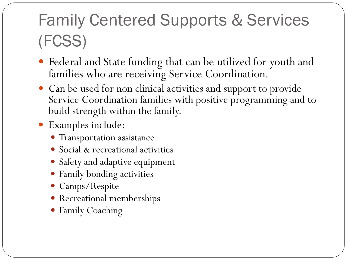### Family Centered Supports & Services (FCSS)

- Federal and State funding that can be utilized for youth and families who are receiving Service Coordination.
- Can be used for non clinical activities and support to provide Service Coordination families with positive programming and to build strength within the family.
- Examples include:
	- Transportation assistance
	- Social & recreational activities
	- Safety and adaptive equipment
	- Family bonding activities
	- Camps/Respite
	- Recreational memberships
	- Family Coaching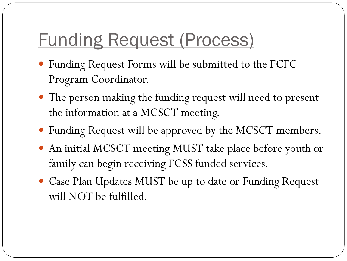# Funding Request (Process)

- Funding Request Forms will be submitted to the FCFC Program Coordinator.
- The person making the funding request will need to present the information at a MCSCT meeting.
- Funding Request will be approved by the MCSCT members.
- An initial MCSCT meeting MUST take place before youth or family can begin receiving FCSS funded services.
- Case Plan Updates MUST be up to date or Funding Request will NOT be fulfilled.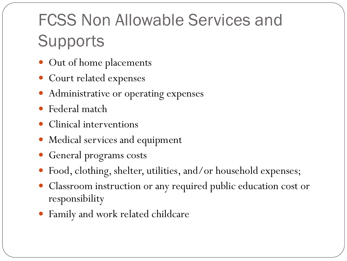### FCSS Non Allowable Services and **Supports**

- Out of home placements
- Court related expenses
- Administrative or operating expenses
- Federal match
- Clinical interventions
- Medical services and equipment
- General programs costs
- Food, clothing, shelter, utilities, and/or household expenses;
- Classroom instruction or any required public education cost or responsibility
- Family and work related childcare